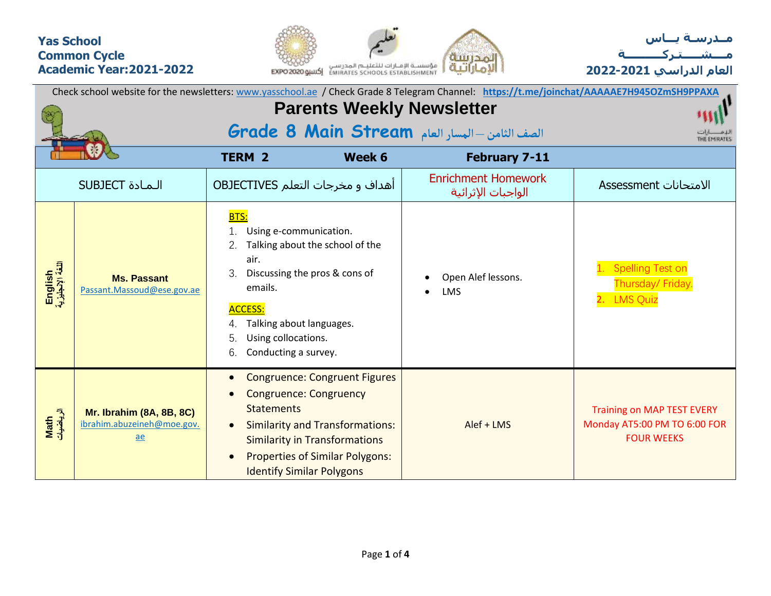## **Yas School Common Cycle Academic Year:2021-2022**





| Check school website for the newsletters: www.yasschool.ae / Check Grade 8 Telegram Channel: https://t.me/joinchat/AAAAAE7H945OZmSH9PPAXA |                                                                                   |                                                                                                                                                                                                         |                                                                                                                                                                  |                                                  |                                                                                        |  |  |  |  |  |  |
|-------------------------------------------------------------------------------------------------------------------------------------------|-----------------------------------------------------------------------------------|---------------------------------------------------------------------------------------------------------------------------------------------------------------------------------------------------------|------------------------------------------------------------------------------------------------------------------------------------------------------------------|--------------------------------------------------|----------------------------------------------------------------------------------------|--|--|--|--|--|--|
|                                                                                                                                           |                                                                                   |                                                                                                                                                                                                         |                                                                                                                                                                  | <b>Parents Weekly Newsletter</b>                 |                                                                                        |  |  |  |  |  |  |
|                                                                                                                                           |                                                                                   |                                                                                                                                                                                                         |                                                                                                                                                                  | الصف الثامن - المسار العام Grade 8 Main Stream   | THE EMIRATES                                                                           |  |  |  |  |  |  |
|                                                                                                                                           |                                                                                   | <b>TERM 2</b>                                                                                                                                                                                           | Week 6                                                                                                                                                           | <b>February 7-11</b>                             |                                                                                        |  |  |  |  |  |  |
|                                                                                                                                           | <b>SUBJECT</b> الـمـادة                                                           | <b>OBJECTIVES</b> أهداف و مخرجات التعلم                                                                                                                                                                 |                                                                                                                                                                  | <b>Enrichment Homework</b><br>الواجبات الإثرائية | الامتحانات Assessment                                                                  |  |  |  |  |  |  |
| English<br>اللغة الإنجليزية                                                                                                               | <b>Ms. Passant</b><br>Passant.Massoud@ese.gov.ae                                  | BTS:<br>Using e-communication.<br>2.<br>air.<br>Discussing the pros & cons of<br>3.<br>emails.<br><b>ACCESS:</b><br>Talking about languages.<br>Using collocations.<br>5.<br>Conducting a survey.<br>6. | Talking about the school of the                                                                                                                                  | Open Alef lessons.<br><b>LMS</b>                 | <b>Spelling Test on</b><br>Thursday/ Friday.<br>2. LMS Quiz                            |  |  |  |  |  |  |
| Math<br>الرياضيات                                                                                                                         | <b>Mr. Ibrahim (8A, 8B, 8C)</b><br>ibrahim.abuzeineh@moe.gov.<br>$\underline{ae}$ | $\bullet$<br><b>Congruence: Congruency</b><br><b>Statements</b><br>$\bullet$<br><b>Identify Similar Polygons</b>                                                                                        | <b>Congruence: Congruent Figures</b><br><b>Similarity and Transformations:</b><br><b>Similarity in Transformations</b><br><b>Properties of Similar Polygons:</b> | Alef + LMS                                       | <b>Training on MAP TEST EVERY</b><br>Monday AT5:00 PM TO 6:00 FOR<br><b>FOUR WEEKS</b> |  |  |  |  |  |  |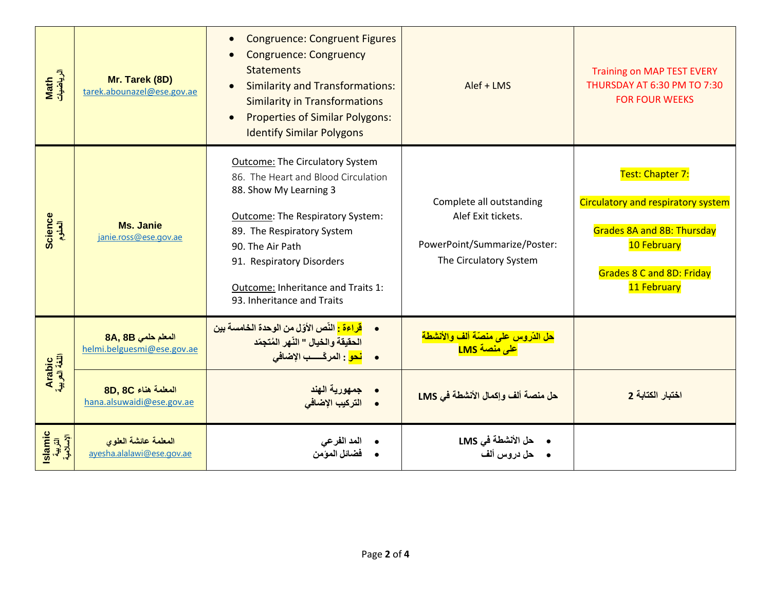| Math<br>الرياضيات               | Mr. Tarek (8D)<br>tarek.abounazel@ese.gov.ae      | <b>Congruence: Congruent Figures</b><br><b>Congruence: Congruency</b><br><b>Statements</b><br><b>Similarity and Transformations:</b><br><b>Similarity in Transformations</b><br><b>Properties of Similar Polygons:</b><br>$\bullet$<br><b>Identify Similar Polygons</b>                        | Alef + LMS                                                                                               | <b>Training on MAP TEST EVERY</b><br>THURSDAY AT 6:30 PM TO 7:30<br><b>FOR FOUR WEEKS</b>                                                                     |
|---------------------------------|---------------------------------------------------|------------------------------------------------------------------------------------------------------------------------------------------------------------------------------------------------------------------------------------------------------------------------------------------------|----------------------------------------------------------------------------------------------------------|---------------------------------------------------------------------------------------------------------------------------------------------------------------|
| Science<br>العلوم               | <b>Ms. Janie</b><br>janie.ross@ese.gov.ae         | <b>Outcome: The Circulatory System</b><br>86. The Heart and Blood Circulation<br>88. Show My Learning 3<br>Outcome: The Respiratory System:<br>89. The Respiratory System<br>90. The Air Path<br>91. Respiratory Disorders<br>Outcome: Inheritance and Traits 1:<br>93. Inheritance and Traits | Complete all outstanding<br>Alef Exit tickets.<br>PowerPoint/Summarize/Poster:<br>The Circulatory System | Test: Chapter 7:<br>Circulatory and respiratory system<br><b>Grades 8A and 8B: Thursday</b><br>10 February<br><b>Grades 8 C and 8D: Friday</b><br>11 February |
|                                 | 8A, 8B المعلم حلمي<br>helmi.belguesmi@ese.gov.ae  | <mark>قراءة :</mark> النّص الأوّل من الوحدة الخامسة بين<br>الحقيقة والخيال " النّهر المُتجمّد<br><mark>نحو</mark> : المركّسـب الإضاف <i>ي</i><br>$\bullet$                                                                                                                                     | <mark>هل الدّروس على منصّة ألف والأنشطة</mark><br>ع <mark>لى منصة LMS</mark>                             |                                                                                                                                                               |
| Arabic<br>اللغة العربية         | 8D. 8C المعلمة هناء<br>hana.alsuwaidi@ese.gov.ae  | <mark>جمهورية الهند</mark><br>التركيب الإضافي                                                                                                                                                                                                                                                  | حل منصة ألف وإكمال الأنشطة في LMS                                                                        | اختبار الكتابة 2                                                                                                                                              |
| Islamic<br>التربية<br>الإسلامية | المعلمة عائشة العلوى<br>ayesha.alalawi@ese.gov.ae | المد الفرعي                                                                                                                                                                                                                                                                                    | •      حل الأنشطة في LMS<br>•     حل دروس ألف                                                            |                                                                                                                                                               |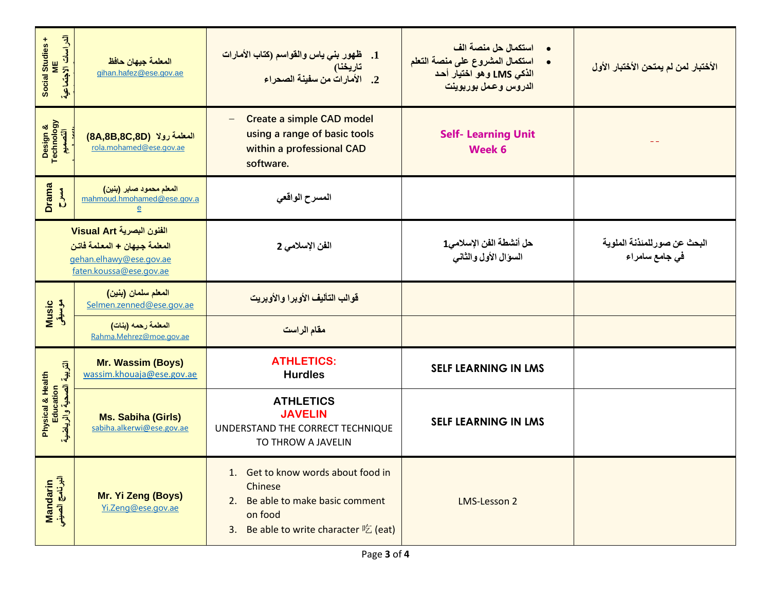| الدراسات الاجتماعية<br>Social Studies +<br>ME                         | المعلمة جيهان حافظ<br>gihan.hafez@ese.gov.ae                                                                    | 1. ظهور بني ياس والقواسم (كتاب الأمارات<br>تاريخنا)<br>2. الأمارات من سفينة الصحراء                                                             | •     استكمال حل منصة الف<br>استكمال المشروع على منصة التعلم<br>الذكي LMS وهو اختيار أحد<br>الدروس وعمل بوربوينت | الأختبار لمن لم يمتحن الأختبار الأول           |
|-----------------------------------------------------------------------|-----------------------------------------------------------------------------------------------------------------|-------------------------------------------------------------------------------------------------------------------------------------------------|------------------------------------------------------------------------------------------------------------------|------------------------------------------------|
| Design &<br>Technology<br>التصميم                                     | المعلمة رولا (8A,8B,8C,8D)<br>rola.mohamed@ese.gov.ae                                                           | <b>Create a simple CAD model</b><br>$\overline{\phantom{m}}$<br>using a range of basic tools<br>within a professional CAD<br>software.          | <b>Self- Learning Unit</b><br>Week 6                                                                             |                                                |
| <b>Drama</b><br>$rac{4}{5}$                                           | المعلم محمود صابر (بنين)<br>mahmoud.hmohamed@ese.gov.a<br>$\overline{e}$                                        | المسرح الواقعي                                                                                                                                  |                                                                                                                  |                                                |
|                                                                       | الفنون البصرية Visual Art<br>المعلمة جيهان + المعلمة فاتن<br>gehan.elhawy@ese.gov.ae<br>faten.koussa@ese.gov.ae | الفن الإسلامي 2                                                                                                                                 | حل أنشطة الفن الإسلامي1<br>السؤال الأول والثاني                                                                  | البحث عن صور للمئذنة الملوية<br>في جامع سامراء |
| المعلم سلمان (بنين)<br>Music<br>موسیقی<br>Selmen.zenned@ese.gov.ae    |                                                                                                                 | قوالب التأليف الأويرا والأويريت                                                                                                                 |                                                                                                                  |                                                |
|                                                                       | المعلمة رحمه (بنات)<br>Rahma.Mehrez@moe.gov.ae                                                                  | مقام الراست                                                                                                                                     |                                                                                                                  |                                                |
|                                                                       | Mr. Wassim (Boys)<br>wassim.khouaja@ese.gov.ae                                                                  | <b>ATHLETICS:</b><br><b>Hurdles</b>                                                                                                             | <b>SELF LEARNING IN LMS</b>                                                                                      |                                                |
| التربية الصحية والرياضية<br><b>Physical &amp; Health</b><br>Education | <b>Ms. Sabiha (Girls)</b><br>sabiha.alkerwi@ese.gov.ae                                                          | <b>ATHLETICS</b><br><b>JAVELIN</b><br>UNDERSTAND THE CORRECT TECHNIQUE<br>TO THROW A JAVELIN                                                    | <b>SELF LEARNING IN LMS</b>                                                                                      |                                                |
| البرنامج الصينو<br><b>Mandarin</b>                                    | Mr. Yi Zeng (Boys)<br>Yi.Zeng@ese.gov.ae                                                                        | 1. Get to know words about food in<br><b>Chinese</b><br>2. Be able to make basic comment<br>on food<br>Be able to write character 吃 (eat)<br>3. | <b>LMS-Lesson 2</b>                                                                                              |                                                |